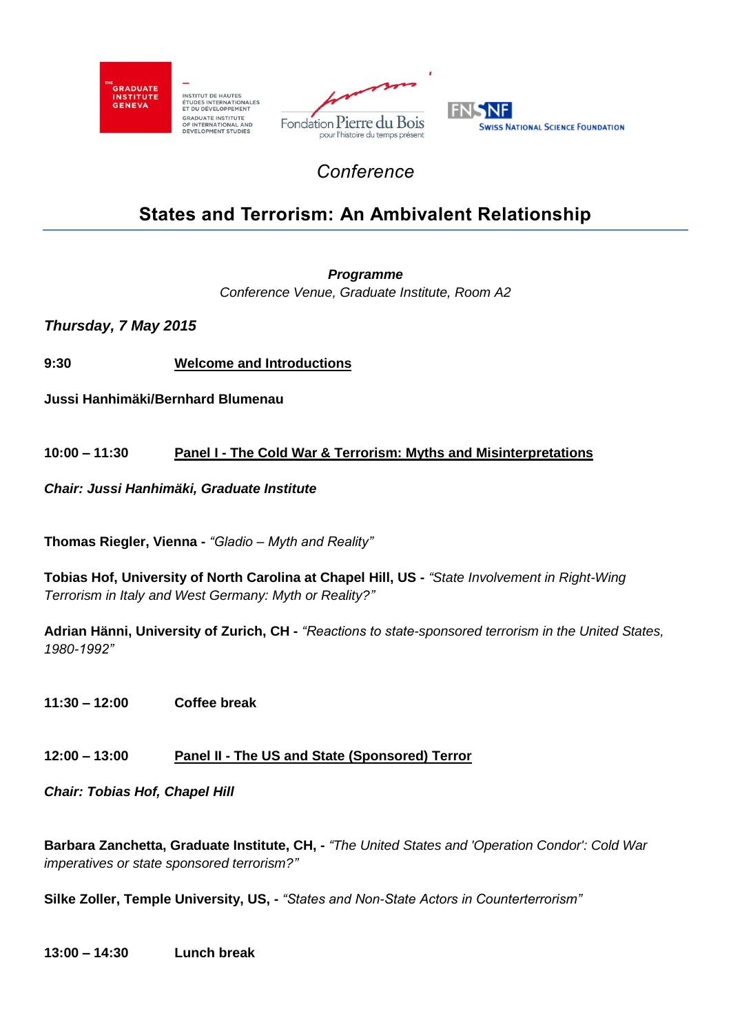

INSTITUT DE HAUTES<br>ÉTUDES INTERNATIONALES<br>ET DU DÉVELOPPEMENT GRADUATE INSTITUTE<br>OF INTERNATIONAL AND<br>DEVELOPMENT STUDIES





## *Conference*

# **States and Terrorism: An Ambivalent Relationship**

*Programme*

*Conference Venue, Graduate Institute, Room A2*

*Thursday, 7 May 2015*

**9:30 Welcome and Introductions**

**Jussi Hanhimäki/Bernhard Blumenau**

### **10:00 – 11:30 Panel I - The Cold War & Terrorism: Myths and Misinterpretations**

*Chair: Jussi Hanhimäki, Graduate Institute*

**Thomas Riegler, Vienna -** *"Gladio – Myth and Reality"*

**Tobias Hof, University of North Carolina at Chapel Hill, US -** *"State Involvement in Right-Wing Terrorism in Italy and West Germany: Myth or Reality?"*

**Adrian Hänni, University of Zurich, CH -** *"Reactions to state-sponsored terrorism in the United States, 1980-1992"*

**11:30 – 12:00 Coffee break**

### **12:00 – 13:00 Panel II - The US and State (Sponsored) Terror**

*Chair: Tobias Hof, Chapel Hill*

**Barbara Zanchetta, Graduate Institute, CH, -** *"The United States and 'Operation Condor': Cold War imperatives or state sponsored terrorism?"*

**Silke Zoller, Temple University, US, -** *"States and Non-State Actors in Counterterrorism"*

**13:00 – 14:30 Lunch break**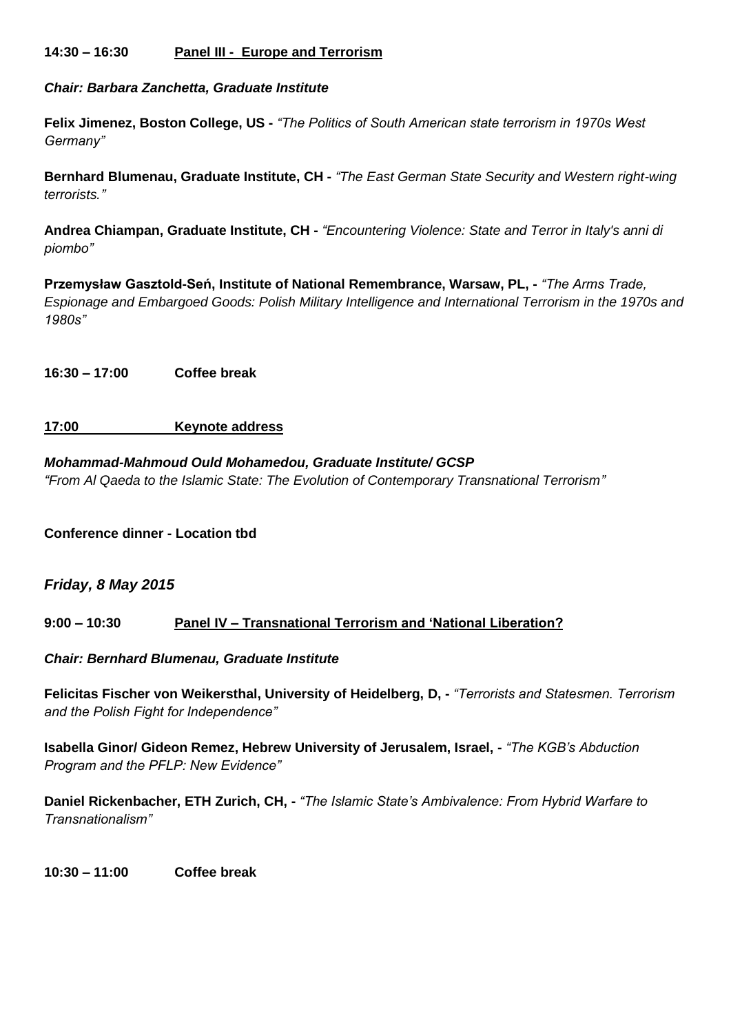#### **14:30 – 16:30 Panel III - Europe and Terrorism**

*Chair: Barbara Zanchetta, Graduate Institute*

**Felix Jimenez, Boston College, US -** *"The Politics of South American state terrorism in 1970s West Germany"*

**Bernhard Blumenau, Graduate Institute, CH -** *"The East German State Security and Western right-wing terrorists."*

**Andrea Chiampan, Graduate Institute, CH -** *"Encountering Violence: State and Terror in Italy's anni di piombo"*

**Przemysław Gasztold-Seń, Institute of National Remembrance, Warsaw, PL, -** *"The Arms Trade, Espionage and Embargoed Goods: Polish Military Intelligence and International Terrorism in the 1970s and 1980s"*

**16:30 – 17:00 Coffee break**

#### **17:00 Keynote address**

## *Mohammad-Mahmoud Ould Mohamedou, Graduate Institute/ GCSP*

*"From Al Qaeda to the Islamic State: The Evolution of Contemporary Transnational Terrorism"*

**Conference dinner - Location tbd**

#### *Friday, 8 May 2015*

#### **9:00 – 10:30 Panel IV – Transnational Terrorism and 'National Liberation?**

*Chair: Bernhard Blumenau, Graduate Institute*

**Felicitas Fischer von Weikersthal, University of Heidelberg, D, -** *"Terrorists and Statesmen. Terrorism and the Polish Fight for Independence"*

**Isabella Ginor/ Gideon Remez, Hebrew University of Jerusalem, Israel, -** *"The KGB's Abduction Program and the PFLP: New Evidence"*

**Daniel Rickenbacher, ETH Zurich, CH, -** *"The Islamic State's Ambivalence: From Hybrid Warfare to Transnationalism"*

**10:30 – 11:00 Coffee break**